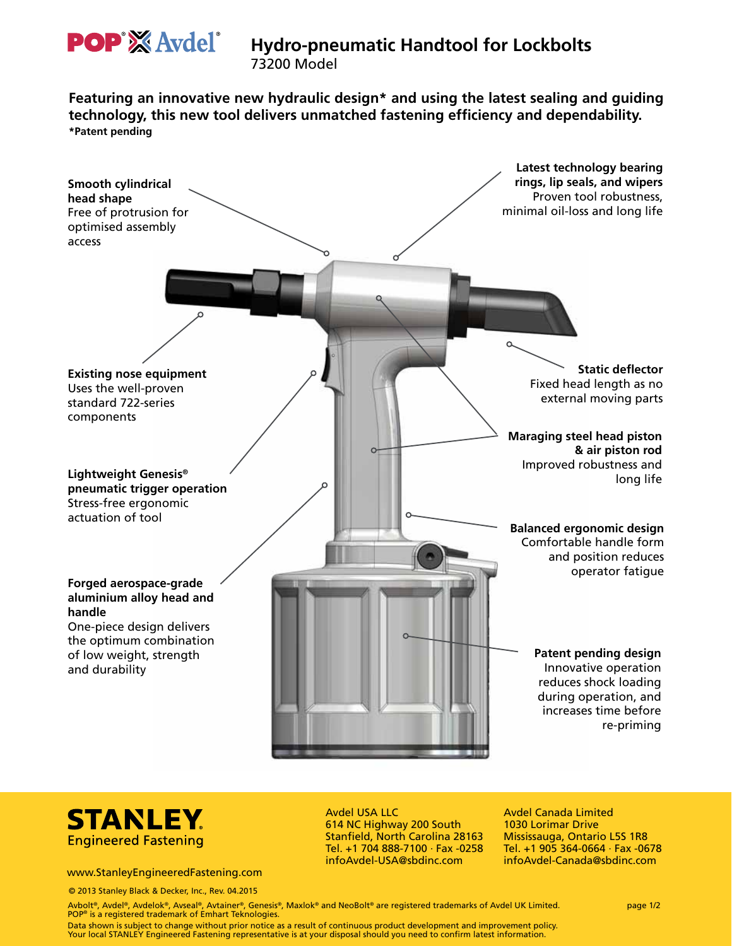

# **Hydro-pneumatic Handtool for Lockbolts**

73200 Model

**Featuring an innovative new hydraulic design\* and using the latest sealing and guiding technology, this new tool delivers unmatched fastening efficiency and dependability. \*Patent pending**





#### www.StanleyEngineeredFastening.com

© 2013 Stanley Black & Decker, Inc., Rev. 04.2015

Avdel USA LLC 614 NC Highway 200 South Stanfield, North Carolina 28163 Tel. +1 704 888-7100 · Fax -0258 infoAvdel-USA@sbdinc.com

Avdel Canada Limited 1030 Lorimar Drive Mississauga, Ontario L5S 1R8 Tel. +1 905 364-0664 · Fax -0678 infoAvdel-Canada@sbdinc.com

Avbolt®, Avdel®, Avdelok®, Avseal®, Avtainer®, Genesis®, Maxlok® and NeoBolt® are registered trademarks of Avdel UK Limited. page 1/2 POP® is a registered trademark of Emhart Teknologies.

Data shown is subject to change without prior notice as a result of continuous product development and improvement policy.<br>Your local STANLEY Engineered Fastening representative is at your disposal should you need to confi